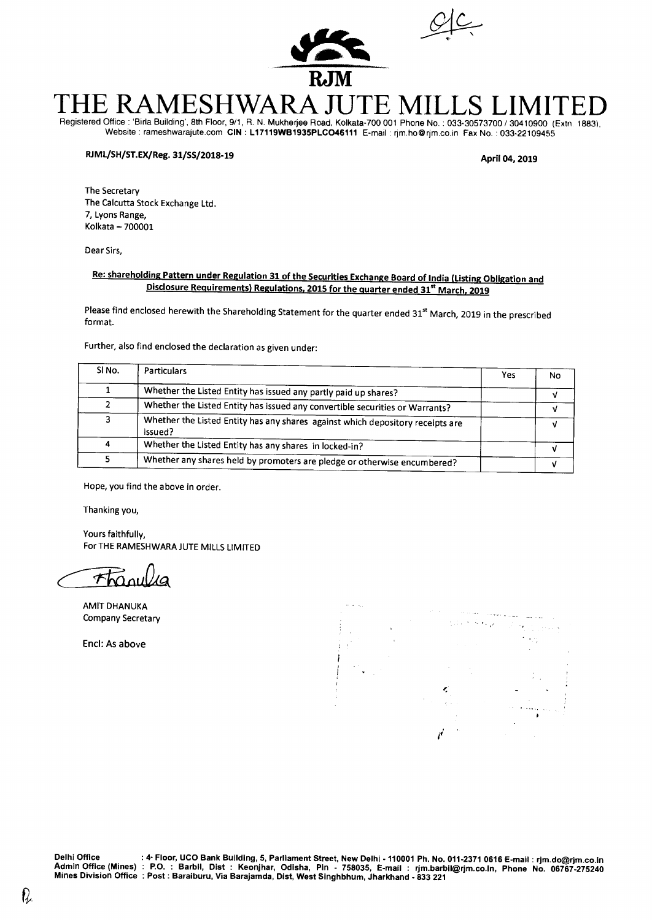



# **THE RAMESHWARA JUTE MILLS LIMITED**  Registered Office : 'Birla Building', 8th Floor, 9/1, R. N. Mukherjee Road, Kolkata-700 001 Phone No. : 033-30573700 / 30410900 (Extn 1883),

Website : rameshwarajute.com CIN : L17119WB1935PLCO46111 E-mail : rjm.ho@rjm.co.in Fax No. : 033-22109455

## **RJML/SH/ST.EX/Reg. 31/SS/2018-19 April 04, 2019**

The Secretary The Calcutta Stock Exchange Ltd. 7, Lyons Range, Kolkata — 700001

Dear Sirs,

## **Re: shareholding Pattern under Regulation 31 of the Securities Exchange Board of India (Listing Obligation and Disclosure Requirements) Regulations, 2015 for the quarter ended 31<sup>st</sup> March, 2019**

Please find enclosed herewith the Shareholding Statement for the quarter ended 31<sup>st</sup> March, 2019 in the prescribed format.

Further, also find enclosed the declaration as given under:

| SINO. | Particulars                                                                               | Yes | No |
|-------|-------------------------------------------------------------------------------------------|-----|----|
|       | Whether the Listed Entity has issued any partly paid up shares?                           |     |    |
|       | Whether the Listed Entity has issued any convertible securities or Warrants?              |     |    |
| ∍     | Whether the Listed Entity has any shares against which depository receipts are<br>issued? |     |    |
|       | Whether the Listed Entity has any shares in locked-in?                                    |     |    |
|       | Whether any shares held by promoters are pledge or otherwise encumbered?                  |     |    |

Hope, you find the above in order.

Thanking you,

Yours faithfully, For THE RAMESHWARA JUTE MILLS LIMITED

Thanulla

AMIT DHANUKA Company Secretary

Encl: As above



Delhi Office : 4• Floor, UCO Bank Building, 5, Parliament Street, New Delhi - 110001 Ph. No. 011-2371 0616 E-mail : rjm.do@rjm.co.in Admin Office (Mines) : P.O. : Barbil, Dist : Keonjhar, Odisha, Pin - 758035, E-mail : rjm.barbil@rjm.co.in, Phone No. 06767-275240<br>Mines Division Office :Post:Baraiburu, Via Barajamda, Dist, West Singhbhum, Jharkhand - 833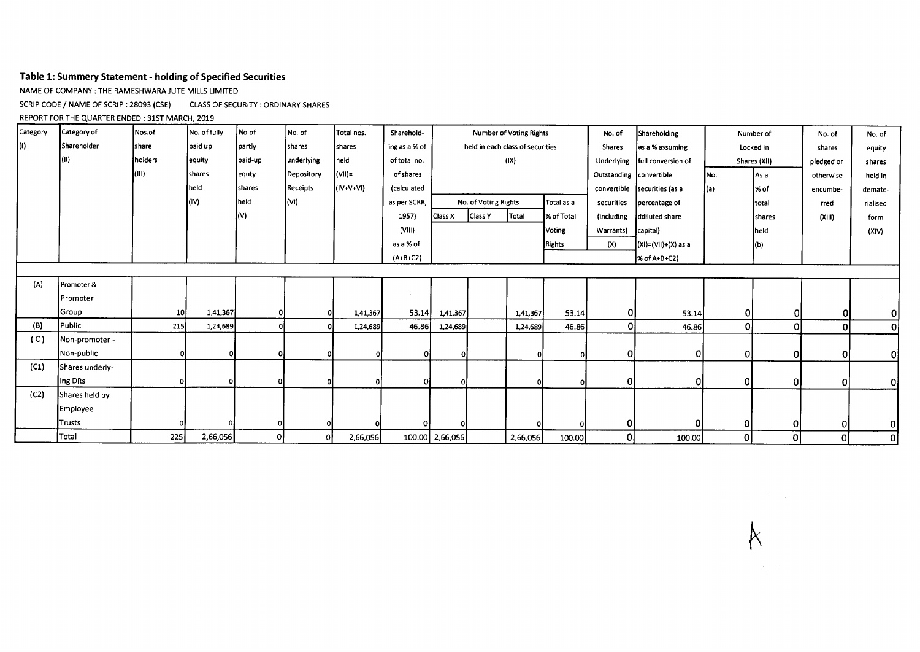## **Table 1: Summery Statement - holding of Specified Securities**

NAME OF COMPANY : THE RAMESHWARA JUTE MILLS LIMITED

SCRIP CODE / NAME OF SCRIP : 28093 (CSE) CLASS OF SECURITY : ORDINARY SHARES

REPORT FOR THE QUARTER ENDED : 31ST MARCH, 2019

| Category | Category of     | Nos.of          | No. of fully | No.of          | No. of     | Total nos.    | Sharehold-    | <b>Number of Voting Rights</b> |                                    |          |            | No. of                  | Shareholding              |      | Number of    | No. of         | No. of         |
|----------|-----------------|-----------------|--------------|----------------|------------|---------------|---------------|--------------------------------|------------------------------------|----------|------------|-------------------------|---------------------------|------|--------------|----------------|----------------|
|          | Shareholder     | <b>share</b>    | paid up      | partly         | shares     | <b>Shares</b> | ing as a % of |                                | held in each class of securities   |          |            | <b>Shares</b>           | as a % assuming           |      | Locked in    | shares         | equity         |
|          | 1(II)           | holders         | equity       | paid-up        | underlying | held          | of total no.  |                                |                                    | (IX)     |            | Underlying              | full conversion of        |      | Shares (XII) | pledged or     | shares         |
|          |                 | (III)           | shares       | equty          | Depository | $($ VII)=     | of shares     |                                |                                    |          |            | Outstanding convertible |                           | INo. | As a         | otherwise      | held in        |
|          |                 |                 | Ineld        | <b>Ishares</b> | Receipts   | $(IV+V+VI)$   | (calculated   |                                |                                    |          |            | convertible             | securities (as a          | (a)  | l% of        | encumbe-       | demate-        |
|          |                 |                 | (IV)         | held           | (WI)       |               | as per SCRR,  |                                | No. of Voting Rights<br>Total as a |          |            | securities              | percentage of             |      | total        | rred           | rialised       |
|          |                 |                 |              | (V)            |            |               | 1957)         | Class X                        | Class Y                            | Total    | % of Total | (including              | ddiluted share            |      | shares       | (X  )          | form           |
|          |                 |                 |              |                |            |               | (VIII)        |                                |                                    |          | Voting     | Warrants)               | capital)                  |      | held         |                | (X V)          |
|          |                 |                 |              |                |            |               | as a % of     |                                |                                    |          | Rights     | (X)                     | $(XI) = (VII) + (X)$ as a |      | (b)          |                |                |
|          |                 |                 |              |                |            |               | $(A+B+C2)$    |                                |                                    |          |            |                         | % of A+B+C2)              |      |              |                |                |
|          |                 |                 |              |                |            |               |               |                                |                                    |          |            |                         |                           |      |              |                |                |
| (A)      | Promoter &      |                 |              |                |            |               |               |                                |                                    |          |            |                         |                           |      |              |                |                |
|          | Promoter        |                 |              |                |            |               |               |                                |                                    |          |            |                         |                           |      |              |                |                |
|          | Group           | 10 <sub>1</sub> | 1,41,367     | 0              | o          | 1,41,367      | 53.14         | 1,41,367                       |                                    | 1,41,367 | 53.14      | $\overline{0}$          | 53.14                     | 01   | 0I           | <sub>0</sub>   | $\overline{0}$ |
| (B)      | Public          | 215             | 1,24,689     | 0              |            | 1,24,689      | 46.86         | 1,24,689                       |                                    | 1,24,689 | 46.86      | 0                       | 46.86                     | 0    | $\Omega$     | $\mathbf{0}$   | $\overline{0}$ |
| (C)      | Non-promoter -  |                 |              |                |            |               |               |                                |                                    |          |            |                         |                           |      |              |                |                |
|          | Non-public      |                 |              | 0              |            |               |               |                                |                                    |          | 01         | 0                       | 0                         | O    | $\Omega$     | 0              | Οl             |
| (C1)     | Shares underly- |                 |              |                |            |               |               |                                |                                    |          |            |                         |                           |      |              |                |                |
|          | ing DRs         |                 |              | Ω              |            |               |               |                                |                                    |          |            | 0                       |                           | 0    | 0            | $\overline{0}$ | 0              |
| (C2)     | Shares held by  |                 |              |                |            |               |               |                                |                                    |          |            |                         |                           |      |              |                |                |
|          | Employee        |                 |              |                |            |               |               |                                |                                    |          |            |                         |                           |      |              |                |                |
|          | Trusts          |                 |              |                |            |               |               |                                |                                    |          |            | 0I                      | ΩI                        | ΟI   | 0            | 0l             | οI             |
|          | Total           | 225             | 2,66,056     | 0l             | οl         | 2,66,056      |               | 100.00 2,66,056                |                                    | 2,66,056 | 100.00     | 0                       | 100.00                    | 0    | ο            | 0              | οj             |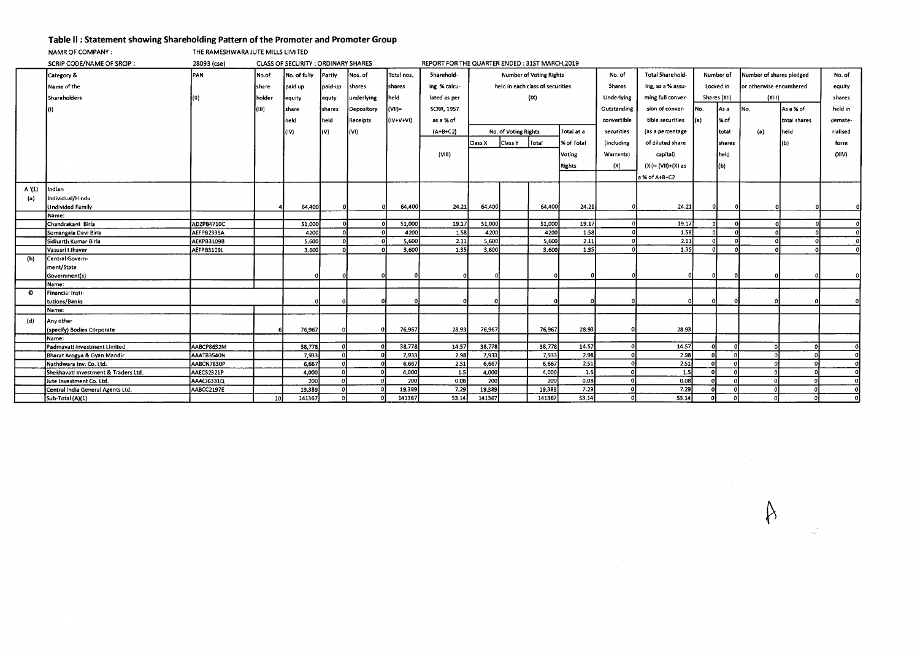## **Table II : Statement showing Shareholding Pattern of the Promoter and Promoter Group**<br> **THE RAMESHWARA JUTE MILLS LIMITED**

THE RAMESHWARA JUTE MILLS LIMITED

|       | SCRIP CODE/NAME OF SRCIP:            | 28093 (cse) |        | <b>CLASS OF SECURITY: ORDINARY SHARES</b> |         |            |            | REPORT FOR THE QUARTER ENDED : 31ST MARCH, 2019 |         |                                  |                                |            |               |                       |             |              |                          |              |          |
|-------|--------------------------------------|-------------|--------|-------------------------------------------|---------|------------|------------|-------------------------------------------------|---------|----------------------------------|--------------------------------|------------|---------------|-----------------------|-------------|--------------|--------------------------|--------------|----------|
|       | Category &                           | PAN         | No.of  | No. of fully                              | Partly  | Nos. of    | Total nos. | Sharehold-                                      |         |                                  | <b>Number of Voting Rights</b> |            | No. of        | Total Sharehold-      |             | Number of    | Number of shares pledged |              | No. of   |
|       | Name of the                          |             | share  | paid up                                   | paid-up | shares     | shares     | ing % calcu-                                    |         | held in each class of securities |                                |            | <b>Shares</b> | ing, as a % assu-     |             | Locked in    | or otherwise encumbered  |              | equity   |
|       | <b>Shareholders</b>                  |             | holder | equity                                    | equty   | underlying | held       | lated as per                                    |         |                                  | (IX)                           |            | Underlying    | ming full conver-     |             | Shares (XII) | (XIII)                   |              | shares   |
|       |                                      |             | (III)  | share                                     | shares  | Depository | $(VII)$ =  | <b>SCRR, 1957</b>                               |         |                                  |                                |            | Outstanding   | sion of conver-       | INo.        | lAs a        | INo.                     | lAs a % of   | held in  |
|       |                                      |             |        | held                                      | held    | Receipts   | (IV+V+VI)  | as a % of                                       |         |                                  |                                |            | convertible   | tible securities      | $\vert$ (a) | 1% of        |                          | total shares | demate-  |
|       |                                      |             |        | (IV)                                      | l(V)    | (VI)       |            | $(A+B+C2)$                                      |         | No. of Voting Rights             |                                | Total as a | securities    | (as a percentage      |             | total        | (a)                      | held         | rialised |
|       |                                      |             |        |                                           |         |            |            |                                                 | Class X | Class Y                          | Total                          | % of Total | (including    | of diluted share      |             | shares       |                          | (b)          | form     |
|       |                                      |             |        |                                           |         |            |            |                                                 |         |                                  |                                |            |               |                       |             |              |                          |              |          |
|       |                                      |             |        |                                           |         |            |            | (VIII)                                          |         |                                  |                                | Voting     | Warrants)     | capital)              |             | held         |                          |              | (XIV)    |
|       |                                      |             |        |                                           |         |            |            |                                                 |         |                                  |                                | Rights     | (X)           | $(XI) = (VII)+(X)$ as |             | (b)          |                          |              |          |
|       |                                      |             |        |                                           |         |            |            |                                                 |         |                                  |                                |            |               | a % of A+B+C2         |             |              |                          |              |          |
| A'(1) | Indian                               |             |        |                                           |         |            |            |                                                 |         |                                  |                                |            |               |                       |             |              |                          |              |          |
| (a)   | Individual/Hindu                     |             |        |                                           |         |            |            |                                                 |         |                                  |                                |            |               |                       |             |              |                          |              |          |
|       | <b>Undivided Family</b>              |             |        | 64,400                                    |         |            | 64,400     | 24.21                                           | 64,400  |                                  | 64,400                         | 24.21      |               | 24.21                 |             |              |                          |              |          |
|       | Name:                                |             |        |                                           |         |            |            |                                                 |         |                                  |                                |            |               |                       |             |              |                          |              |          |
|       | Chandrakant Birla                    | ADZPB4710C  |        | 51,000                                    |         | $\sqrt{2}$ | 51,000     | 19.17                                           | 51,000  |                                  | 51.000                         | 19.17      |               | 19.17                 |             |              |                          |              |          |
|       | Sumangala Devi Birla                 | AEFPB2335A  |        | 4200                                      |         |            | 4200       | 1.58                                            | 4200    |                                  | 4200                           | 1.58       |               | 1.58                  |             |              |                          |              |          |
|       | Sidharth Kumar Birla                 | AEKPB3109B  |        | 5,600                                     |         |            | 5,600      | 2.11                                            | 5,600   |                                  | 5,600                          | 2.11       |               | 2.11                  |             |              |                          |              |          |
|       | Vasusri I Jhaver                     | AEFPB3109L  |        | 3,600                                     |         |            | 3,600      | 1.35                                            | 3,600   |                                  | 3,600                          | 1.35       |               | 1.35                  | $\Omega$    |              |                          |              |          |
| (b)   | Central Govern-                      |             |        |                                           |         |            |            |                                                 |         |                                  |                                |            |               |                       |             |              |                          |              |          |
|       | ment/State                           |             |        |                                           |         |            |            |                                                 |         |                                  |                                |            |               |                       |             |              |                          |              |          |
|       | Governmentís)                        |             |        |                                           |         |            |            |                                                 |         |                                  |                                |            |               |                       |             |              |                          |              |          |
|       | Name:                                |             |        |                                           |         |            |            |                                                 |         |                                  |                                |            |               |                       |             |              |                          |              |          |
| O     | Financial Insti-                     |             |        |                                           |         |            |            |                                                 |         |                                  |                                |            |               |                       |             |              |                          |              |          |
|       | tutions/Banks                        |             |        |                                           |         |            |            |                                                 |         |                                  |                                |            |               |                       |             |              |                          |              |          |
|       | Name:                                |             |        |                                           |         |            |            |                                                 |         |                                  |                                |            |               |                       |             |              |                          |              |          |
| (d)   | Any other                            |             |        |                                           |         |            |            |                                                 |         |                                  |                                |            |               |                       |             |              |                          |              |          |
|       | (specify) Bodies Corporate           |             |        | 76,967                                    |         |            | 76,967     | 28.93                                           | 76,967  |                                  | 76,967                         | 28.93      |               | 28.93                 |             |              |                          |              |          |
|       | Name:                                |             |        |                                           |         |            |            |                                                 |         |                                  |                                |            |               |                       |             |              |                          |              |          |
|       | Padmavati Investment Limited         | AABCP8632M  |        | 38,778                                    |         |            | 38,778     | 14.57                                           | 38,778  |                                  | 38,778                         | 14.57      |               | 14.57                 |             |              |                          |              |          |
|       | Bharat Arogya & Gyan Mandir          | AAATB3540N  |        | 7,933                                     |         |            | 7,933      | 2.98                                            | 7,933   |                                  | 7,933                          | 2.98       |               | 2.98                  |             |              |                          |              |          |
|       | Nathdwara Inv. Co. Ltd.              | AABCN7830P  |        | 6,667                                     |         |            | 6,667      | 2.51                                            | 6,667   |                                  | 6,667                          | 2.51       |               | 2.51                  | $\sqrt{ }$  | $\sqrt{2}$   |                          |              |          |
|       | Shekhavati Investment & Traders Ltd. | AAECS2321P  |        | 4,000                                     |         |            | 4,000      | 1.5                                             | 4,000   |                                  | 4,000                          | 1.5        |               | 1.5                   | $\sqrt{2}$  | $\sqrt{2}$   |                          |              |          |
|       | Jute Investment Co. Ltd.             | AAACJ6331Q  |        | 200                                       |         |            | 200        | 0.08                                            | 200     |                                  | 200                            | 0.08       |               | 0.08                  |             |              |                          |              |          |
|       | Central India General Agents Ltd.    | AABCC2197E  |        | 19,389                                    |         |            | 19,389     | 7.29                                            | 19,389  |                                  | 19,389                         | 7.29       |               | 7.29                  |             |              |                          |              |          |
|       | Sub-Total (A)(1)                     |             | 10     | 141367                                    |         |            | 141367     | 53.14                                           | 141367  |                                  | 141367                         | 53.14      |               | 53.14                 | $\Omega$    |              |                          |              |          |

 $\upbeta$ 

 $\hat{\mathbf{r}}_i$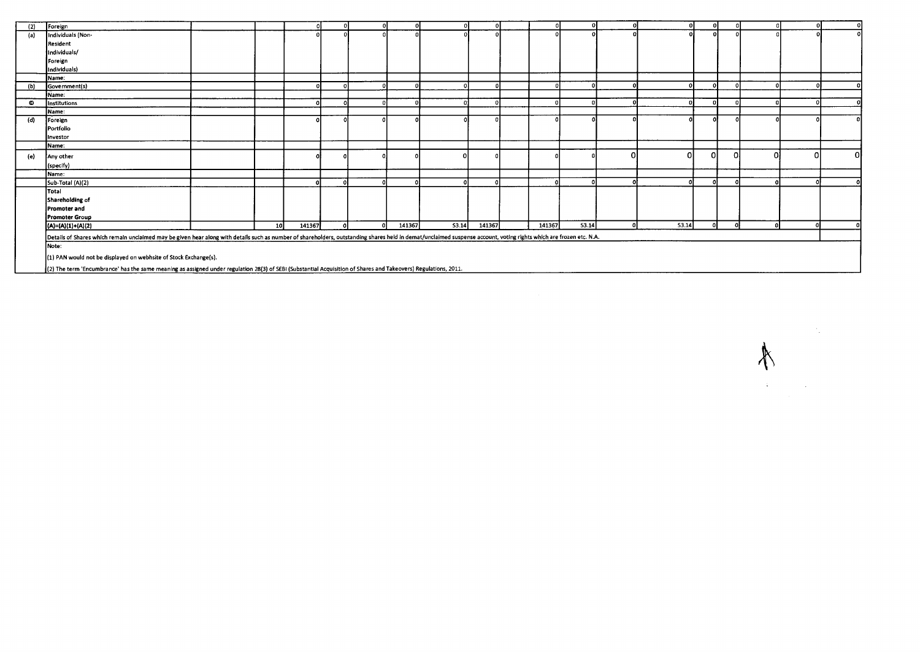| (2) | Foreign                                                                                                                                                                                                             |    |          |          |        |       |        |        |       |   | $\Omega$ |          |        |    |    |
|-----|---------------------------------------------------------------------------------------------------------------------------------------------------------------------------------------------------------------------|----|----------|----------|--------|-------|--------|--------|-------|---|----------|----------|--------|----|----|
| (a) | Individuals (Non-                                                                                                                                                                                                   |    |          |          |        |       |        |        |       |   | Λ        |          |        |    |    |
|     | Resident                                                                                                                                                                                                            |    |          |          |        |       |        |        |       |   |          |          |        |    |    |
|     | Individuals/                                                                                                                                                                                                        |    |          |          |        |       |        |        |       |   |          |          |        |    |    |
|     | Foreign                                                                                                                                                                                                             |    |          |          |        |       |        |        |       |   |          |          |        |    |    |
|     | Individuals)                                                                                                                                                                                                        |    |          |          |        |       |        |        |       |   |          |          |        |    |    |
|     | Name:                                                                                                                                                                                                               |    |          |          |        |       |        |        |       |   |          |          |        |    |    |
| (b) | Government(s)                                                                                                                                                                                                       |    | $\Omega$ | $\Omega$ |        |       |        |        |       |   |          |          |        |    |    |
|     | Name:                                                                                                                                                                                                               |    |          |          |        |       |        |        |       |   |          |          |        |    |    |
| O   | Institutions                                                                                                                                                                                                        |    |          |          |        |       |        |        |       |   |          |          |        |    |    |
|     | Name:                                                                                                                                                                                                               |    |          |          |        |       |        |        |       |   |          |          |        |    |    |
| (d) | Foreign                                                                                                                                                                                                             |    |          |          |        |       |        |        |       |   |          |          |        |    |    |
|     | Portfolio                                                                                                                                                                                                           |    |          |          |        |       |        |        |       |   |          |          |        |    |    |
|     | Investor                                                                                                                                                                                                            |    |          |          |        |       |        |        |       |   |          |          |        |    |    |
|     | Name:                                                                                                                                                                                                               |    |          |          |        |       |        |        |       |   |          |          |        |    |    |
| (e) | Any other                                                                                                                                                                                                           |    |          |          |        |       |        |        |       | 0 |          | ΩI       | οI     |    | ΩI |
|     | (specify)                                                                                                                                                                                                           |    |          |          |        |       |        |        |       |   |          |          |        |    |    |
|     | Name:                                                                                                                                                                                                               |    |          |          |        |       |        |        |       |   |          |          |        |    |    |
|     | Sub-Total (A)(2)                                                                                                                                                                                                    |    |          | ി        |        |       |        |        |       |   |          |          |        |    |    |
|     | Total                                                                                                                                                                                                               |    |          |          |        |       |        |        |       |   |          |          |        |    |    |
|     | Shareholding of                                                                                                                                                                                                     |    |          |          |        |       |        |        |       |   |          |          |        |    |    |
|     | Promoter and                                                                                                                                                                                                        |    |          |          |        |       |        |        |       |   |          |          |        |    |    |
|     | <b>Promoter Group</b>                                                                                                                                                                                               |    |          |          |        |       |        |        |       |   |          |          |        |    |    |
|     | (A)=(A)(1)+(A)(2)                                                                                                                                                                                                   | 10 | 141367   | $\sim$   | 141367 | S3.14 | 141367 | 141367 | 53.14 |   | 53.14    | $\Omega$ | $\sim$ | o۱ |    |
|     | Details of Shares which remain unclaimed may be given hear along with details such as number of shareholders, outstanding shares held in demat/unclaimed suspense account, voting rights which are frozen etc. N.A. |    |          |          |        |       |        |        |       |   |          |          |        |    |    |
|     | Note:                                                                                                                                                                                                               |    |          |          |        |       |        |        |       |   |          |          |        |    |    |
|     |                                                                                                                                                                                                                     |    |          |          |        |       |        |        |       |   |          |          |        |    |    |
|     | (1) PAN would not be displayed on webhsite of Stock Exchange(s).                                                                                                                                                    |    |          |          |        |       |        |        |       |   |          |          |        |    |    |
|     | (2) The term 'Encumbrance' has the same meaning as assigned under regulation 28(3) of SEBI (Substantial Acquisition of Shares and Takeovers) Regulations, 2011.                                                     |    |          |          |        |       |        |        |       |   |          |          |        |    |    |

(2) The term 'Encumbrance' has the same meaning as assigned under regulation 28(3) of SEEP (Substantial Acquisition of Shares and Takeovers) Regulations, 2011.

 $\label{eq:1} \frac{1}{2}\sum_{i=1}^n\frac{1}{2}\sum_{j=1}^n\frac{1}{2}\sum_{j=1}^n\frac{1}{2}\sum_{j=1}^n\frac{1}{2}\sum_{j=1}^n\frac{1}{2}\sum_{j=1}^n\frac{1}{2}\sum_{j=1}^n\frac{1}{2}\sum_{j=1}^n\frac{1}{2}\sum_{j=1}^n\frac{1}{2}\sum_{j=1}^n\frac{1}{2}\sum_{j=1}^n\frac{1}{2}\sum_{j=1}^n\frac{1}{2}\sum_{j=1}^n\frac{1}{2}\sum_{j=1}^n\frac{$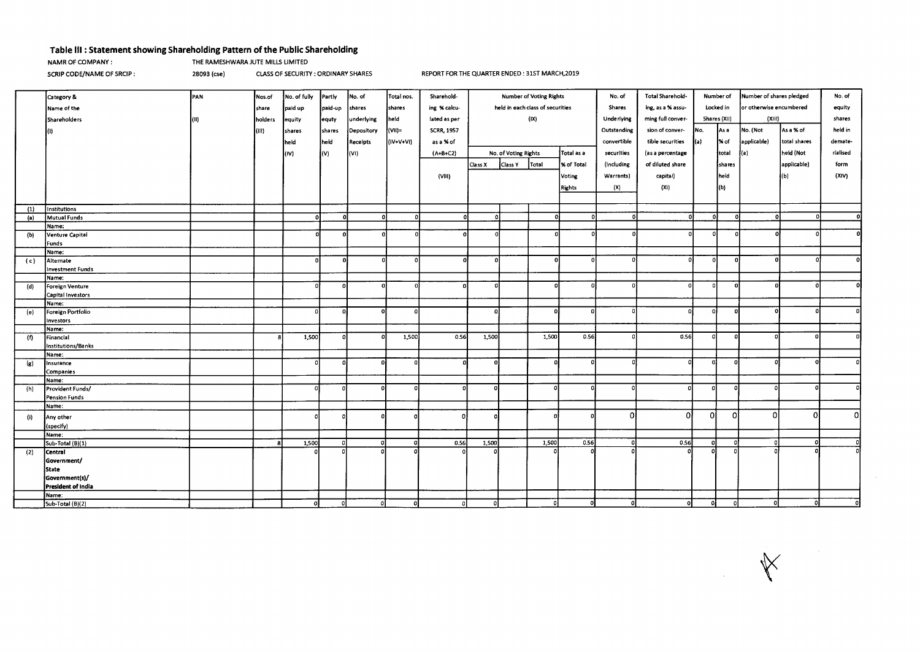## **Table Ill : Statement showing Shareholding Pattern of the Public Shareholding**

NAMR OF COMPANY : THE RAMESHWARA JUTE MILLS LIMITED

SCRIP CODE/NAME OF SRCIP : 28093 (cse) CLASS OF SECURITY : ORDINARY SHARES REPORT FOR THE QUARTER ENDED : 31ST MARCH,2019

|                            | Category &              | PAN  | Nos.of  | No. of fully | Partly   | No. of     | Total nos. | Sharehold-        | Number of Voting Rights          |                      | No. of        | Total Sharehold-<br>Number of |             | Number of shares pledged             | No. of   |              |             |              |          |
|----------------------------|-------------------------|------|---------|--------------|----------|------------|------------|-------------------|----------------------------------|----------------------|---------------|-------------------------------|-------------|--------------------------------------|----------|--------------|-------------|--------------|----------|
|                            | Name of the             |      | share   | paid up      | paid-up  | shares     | shares     | ing % calcu-      | held in each class of securities |                      | <b>Shares</b> | ing, as a % assu-             |             | or otherwise encumbered<br>Locked in |          |              | equity      |              |          |
|                            | Shareholders            | (II) | holders | equity       | equty    | underlying | held       | lated as per      |                                  |                      | (IX)          |                               | Underlying  | ming full conver-                    |          | Shares (XII) | (XIII)      |              | shares   |
|                            |                         |      |         |              |          |            |            |                   |                                  |                      |               |                               |             |                                      |          |              |             |              |          |
|                            |                         |      | (III)   | shares       | shares   | Depository | (VII)=     | <b>SCRR, 1957</b> |                                  |                      |               |                               | Outstanding | sion of conver-                      | INo.     | l As a       | No. (Not    | As a % of    | held in  |
|                            |                         |      |         | held         | held     | Receipts   | (IV+V+VI)  | as a % of         |                                  |                      |               |                               | convertible | tible securities                     | l(a)     | % of         | applicable) | total shares | demate-  |
|                            |                         |      |         | l(IV)        | (V)      | (VI)       |            | $(A+B+C2)$        |                                  | No. of Voting Rights |               | Total as a                    | securities  | (as a percentage                     |          | total        | (a)         | held (Not    | rialised |
|                            |                         |      |         |              |          |            |            |                   | Class X                          | Class Y              | Total         | X of Total                    | (including  | of diluted share                     |          | shares       |             | applicable)  | form     |
|                            |                         |      |         |              |          |            |            | (VIII)            |                                  |                      |               | Voting                        | Warrants)   | capital)                             |          | held         |             | l(Ь)         | (XIV)    |
|                            |                         |      |         |              |          |            |            |                   |                                  |                      |               |                               |             |                                      |          |              |             |              |          |
|                            |                         |      |         |              |          |            |            |                   |                                  |                      |               | Rights                        | (X)         | (X)                                  |          | (b)          |             |              |          |
|                            |                         |      |         |              |          |            |            |                   |                                  |                      |               |                               |             |                                      |          |              |             |              |          |
| (1)                        | Institutions            |      |         |              |          |            |            |                   |                                  |                      |               |                               |             |                                      |          |              |             |              |          |
| (a)                        | Mutual Funds            |      |         |              | r        | $\Omega$   | - Oʻl      |                   | ി                                |                      | n.            |                               | $\Omega$    | $\Omega$                             | -ol      | $\mathbf{r}$ | $\Omega$    |              | -O.      |
|                            | Name:                   |      |         |              |          |            |            |                   |                                  |                      |               |                               |             |                                      |          |              |             |              |          |
| (b)                        | Venture Capital         |      |         |              | -C       |            |            |                   |                                  |                      |               |                               |             |                                      | $\Omega$ |              |             |              |          |
|                            | Funds                   |      |         |              |          |            |            |                   |                                  |                      |               |                               |             |                                      |          |              |             |              |          |
|                            | Name:<br>Alternate      |      |         | $\Omega$     | $\Omega$ |            | Ω          |                   | $\Omega$                         |                      | οI            | ΩI                            |             | Ω                                    | - ol     | $\Omega$     |             |              |          |
| (c)                        | <b>Investment Funds</b> |      |         |              |          |            |            |                   |                                  |                      |               |                               |             |                                      |          |              |             |              |          |
|                            | Name:                   |      |         |              |          |            |            |                   |                                  |                      |               |                               |             |                                      |          |              |             |              |          |
| (d)                        | Foreign Venture         |      |         | -0           |          |            |            |                   | $\Omega$                         |                      |               |                               | n           | Ω                                    | $\Omega$ | $\Omega$     |             |              |          |
|                            | Capital Investors       |      |         |              |          |            |            |                   |                                  |                      |               |                               |             |                                      |          |              |             |              |          |
|                            | Name:                   |      |         |              |          |            |            |                   |                                  |                      |               |                               |             |                                      |          |              |             |              |          |
| (e)                        | Foreign Portfolio       |      |         |              |          |            | 0          |                   | $\Omega$                         |                      | $\Omega$      |                               |             | $\Omega$                             | - 01     | ΩI           |             |              | ΩI       |
|                            | investors               |      |         |              |          |            |            |                   |                                  |                      |               |                               |             |                                      |          |              |             |              |          |
|                            | Name:                   |      |         |              |          |            |            |                   |                                  |                      |               |                               |             |                                      |          |              |             |              |          |
| (f)                        | Financial               |      |         | 1,500        |          |            | 1,500      | 0.56              | 1,500                            |                      | 1,500         | 0.56                          |             | 0.56                                 | $\Omega$ | $\Omega$     |             |              |          |
|                            | Institutions/Banks      |      |         |              |          |            |            |                   |                                  |                      |               |                               |             |                                      |          |              |             |              |          |
|                            | Name:                   |      |         |              |          |            |            |                   |                                  |                      |               |                               |             |                                      |          |              |             |              |          |
| $\left( \mathbf{z}\right)$ | Insurance               |      |         |              |          |            |            |                   |                                  |                      |               |                               |             |                                      |          |              |             |              |          |
|                            | Companies<br>Name:      |      |         |              |          |            |            |                   |                                  |                      |               |                               |             |                                      |          |              |             |              |          |
| (h)                        | Provident Funds/        |      |         | $\Omega$     | o        | o          |            |                   |                                  |                      |               |                               |             |                                      | -01      |              |             |              |          |
|                            | <b>Pension Funds</b>    |      |         |              |          |            |            |                   |                                  |                      |               |                               |             |                                      |          |              |             |              |          |
|                            | Name:                   |      |         |              |          |            |            |                   |                                  |                      |               |                               |             |                                      |          |              |             |              |          |
| (i)                        | Any other               |      |         |              |          |            |            |                   |                                  |                      |               |                               | Ωl          | ΩI                                   | ٥l       | $\Omega$     | ΩI          | $\Omega$     | ΩI       |
|                            | (specify)               |      |         |              |          |            |            |                   |                                  |                      |               |                               |             |                                      |          |              |             |              |          |
|                            | Name:                   |      |         |              |          |            |            |                   |                                  |                      |               |                               |             |                                      |          |              |             |              |          |
|                            | Sub-Total (B)(1)        |      |         | 1,500        | - ol     | o          |            | 0.56              | 1,500                            |                      | 1,500         | 0.56                          | $\Omega$    | 0.56                                 | -ol      | ി            |             |              |          |
| (2)                        | Central                 |      |         |              |          |            |            |                   |                                  |                      |               |                               |             |                                      |          |              |             |              |          |
|                            | Government/             |      |         |              |          |            |            |                   |                                  |                      |               |                               |             |                                      |          |              |             |              |          |
|                            | State                   |      |         |              |          |            |            |                   |                                  |                      |               |                               |             |                                      |          |              |             |              |          |
|                            | Government(s)/          |      |         |              |          |            |            |                   |                                  |                      |               |                               |             |                                      |          |              |             |              |          |
|                            | President of india      |      |         |              |          |            |            |                   |                                  |                      |               |                               |             |                                      |          |              |             |              |          |
|                            | Name:                   |      |         |              |          |            |            |                   |                                  |                      |               |                               |             |                                      |          |              |             |              |          |
|                            | Sub-Total (B)(2)        |      |         | ΩI           | - ol     | $\circ$    | - Ol       | ۵l                | $\Omega$                         |                      | n.            |                               | o           | οl                                   | $\Omega$ | - O          |             | n            |          |

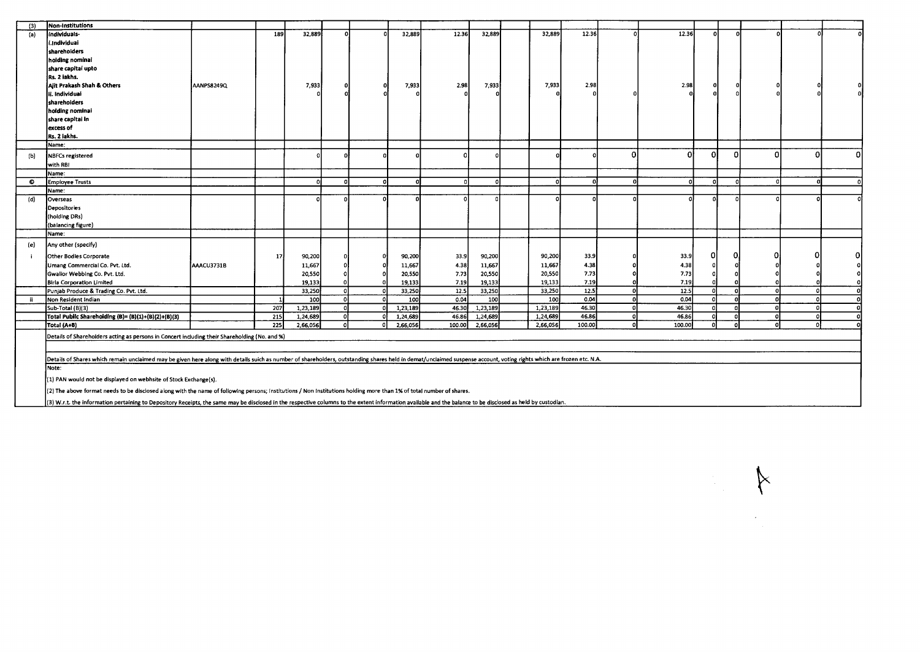| (3)       | Non-Institutions                                                                                                                                                                                                     |                   |     |          |     |          |        |          |          |                    |          |          |          |          |   |     |          |
|-----------|----------------------------------------------------------------------------------------------------------------------------------------------------------------------------------------------------------------------|-------------------|-----|----------|-----|----------|--------|----------|----------|--------------------|----------|----------|----------|----------|---|-----|----------|
| (a)       | individuals-                                                                                                                                                                                                         |                   | 189 | 32,889   |     | 32,889   | 12.36  | 32,889   | 32,889   | 12.36              | $\Omega$ | 12.36    | $\Omega$ | $\Omega$ | n |     |          |
|           | i.Individuai                                                                                                                                                                                                         |                   |     |          |     |          |        |          |          |                    |          |          |          |          |   |     |          |
|           | sharehoiders                                                                                                                                                                                                         |                   |     |          |     |          |        |          |          |                    |          |          |          |          |   |     |          |
|           | hoiding nominal                                                                                                                                                                                                      |                   |     |          |     |          |        |          |          |                    |          |          |          |          |   |     |          |
|           | share capital upto                                                                                                                                                                                                   |                   |     |          |     |          |        |          |          |                    |          |          |          |          |   |     |          |
|           | Rs. 2 iakhs.                                                                                                                                                                                                         |                   |     |          |     |          |        |          |          |                    |          |          |          |          |   |     |          |
|           | Ajit Prakash Shah & Others                                                                                                                                                                                           | <b>AANPS8249Q</b> |     | 7,933    |     | 7,933    | 2.98   | 7,933    |          | 7,933<br>2.98      |          | 2.98     |          |          |   |     |          |
|           | ii. Individuai                                                                                                                                                                                                       |                   |     |          |     |          |        |          |          |                    |          |          |          |          |   |     |          |
|           | sharehoiders                                                                                                                                                                                                         |                   |     |          |     |          |        |          |          |                    |          |          |          |          |   |     |          |
|           | holding nominai                                                                                                                                                                                                      |                   |     |          |     |          |        |          |          |                    |          |          |          |          |   |     |          |
|           | share capitai in                                                                                                                                                                                                     |                   |     |          |     |          |        |          |          |                    |          |          |          |          |   |     |          |
|           | excess of                                                                                                                                                                                                            |                   |     |          |     |          |        |          |          |                    |          |          |          |          |   |     |          |
|           | Rs. 2 iakhs.                                                                                                                                                                                                         |                   |     |          |     |          |        |          |          |                    |          |          |          |          |   |     |          |
|           | Name:                                                                                                                                                                                                                |                   |     |          |     |          |        |          |          |                    |          |          |          |          |   |     |          |
|           |                                                                                                                                                                                                                      |                   |     |          |     |          |        |          |          |                    | O        | ΩI       | O.       | $\Omega$ | Ω |     | $\Omega$ |
| (b)       | <b>NBFCs registered</b>                                                                                                                                                                                              |                   |     |          |     |          |        |          |          |                    |          |          |          |          |   |     |          |
|           | with RBI                                                                                                                                                                                                             |                   |     |          |     |          |        |          |          |                    |          |          |          |          |   |     |          |
| $\bullet$ | Name:                                                                                                                                                                                                                |                   |     | n        | -ol |          |        |          |          | $\Omega$           | n        | $\Omega$ |          |          |   |     |          |
|           | <b>Employee Trusts</b>                                                                                                                                                                                               |                   |     |          |     |          |        |          |          |                    |          |          |          |          |   |     |          |
|           | Name:                                                                                                                                                                                                                |                   |     |          | n   |          |        |          |          |                    |          |          |          |          |   |     |          |
| (d)       | Overseas                                                                                                                                                                                                             |                   |     |          |     |          |        |          |          |                    |          |          |          |          |   |     |          |
|           | Depositories                                                                                                                                                                                                         |                   |     |          |     |          |        |          |          |                    |          |          |          |          |   |     |          |
|           | (holding DRs)                                                                                                                                                                                                        |                   |     |          |     |          |        |          |          |                    |          |          |          |          |   |     |          |
|           | (balancing figure)                                                                                                                                                                                                   |                   |     |          |     |          |        |          |          |                    |          |          |          |          |   |     |          |
|           | Name:                                                                                                                                                                                                                |                   |     |          |     |          |        |          |          |                    |          |          |          |          |   |     |          |
| (e)       | Any other (specify)                                                                                                                                                                                                  |                   |     |          |     |          |        |          |          |                    |          |          |          |          |   |     |          |
|           | Other Bodies Corporate                                                                                                                                                                                               |                   | 17  | 90,200   |     | 90,200   | 33.9   | 90,200   | 90,200   | 33.9               |          | 33.9     | n        |          |   |     |          |
|           | Umang Commercial Co. Pvt. Ltd.                                                                                                                                                                                       | AAACU3731B        |     | 11,667   |     | 11,667   | 4.38   | 11,667   | 11,667   | 4.38               |          | 4.38     |          |          |   |     |          |
|           | Gwalior Webbing Co. Pvt. Ltd.                                                                                                                                                                                        |                   |     | 20,550   |     | 20,550   | 7.73   | 20,550   | 20,550   | 7.73               |          | 7.73     |          |          |   |     |          |
|           | <b>Birla Corporation Limited</b>                                                                                                                                                                                     |                   |     | 19,133   |     | 19,133   | 7.19   | 19,133   | 19,133   | 7.19               |          | 7.19     |          |          |   |     |          |
|           | Punjab Produce & Trading Co. Pvt. Ltd.                                                                                                                                                                               |                   |     | 33,250   |     | 33,250   | 12.5   | 33,250   | 33,250   | 12.5               | ΩI       | 12.5     | n        | $\Omega$ |   | - 0 |          |
| - ii      | Non Resident Indian                                                                                                                                                                                                  |                   |     | 100      |     | 100      | 0.04   | 100      |          | 0.04<br><b>100</b> | n.       | 0.04     |          |          |   |     |          |
|           | Sub-Total (B)(3)                                                                                                                                                                                                     |                   | 207 | 1,23,189 |     | 1,23,189 | 46.30  | 1,23,189 | 1,23,189 | 46.30              | $\Omega$ | 46.30    |          |          |   |     |          |
|           | Total Public Shareholding (B)= (B)(1)+(B)(2)+(B)(3)                                                                                                                                                                  |                   | 215 | 1,24,689 |     | 1,24,689 | 46.86  | 1,24,689 | 1,24,689 | 46.86              | $\Omega$ | 46.86    |          |          |   |     |          |
|           | Totai (A+B)                                                                                                                                                                                                          |                   | 225 | 2,66,056 |     | 2,66,056 | 100.00 | 2,66,056 | 2,66,056 | 100.00             |          | 100.00   |          |          |   |     |          |
|           | Details of Shareholders acting as persons in Concert including their Shareholding (No. and %)                                                                                                                        |                   |     |          |     |          |        |          |          |                    |          |          |          |          |   |     |          |
|           |                                                                                                                                                                                                                      |                   |     |          |     |          |        |          |          |                    |          |          |          |          |   |     |          |
|           |                                                                                                                                                                                                                      |                   |     |          |     |          |        |          |          |                    |          |          |          |          |   |     |          |
|           | Details of Shares which remain unclaimed may be given here along with details suich as number of shareholders, outstanding shares held in demat/unclaimed suspense account, voting rights which are frozen etc. N.A. |                   |     |          |     |          |        |          |          |                    |          |          |          |          |   |     |          |
|           | Note:                                                                                                                                                                                                                |                   |     |          |     |          |        |          |          |                    |          |          |          |          |   |     |          |
|           | (1) PAN would not be displayed on webhsite of Stock Exchange(s).                                                                                                                                                     |                   |     |          |     |          |        |          |          |                    |          |          |          |          |   |     |          |
|           | (2) The above format needs to be disclosed along with the name of following persons; Institutions / Non Institutions holding more than 1% of total number of shares.                                                 |                   |     |          |     |          |        |          |          |                    |          |          |          |          |   |     |          |
|           |                                                                                                                                                                                                                      |                   |     |          |     |          |        |          |          |                    |          |          |          |          |   |     |          |
|           | (3) W.r.t. the information pertaining to Depository Receipts, the same may be disclosed in the respective columns to the extent information available and the balance to be disclosed as held by custodian.          |                   |     |          |     |          |        |          |          |                    |          |          |          |          |   |     |          |

 $\label{eq:2} \frac{d\mathbf{y}}{d\mathbf{x}} = \frac{d\mathbf{y}}{d\mathbf{x}} \mathbf{y}$ 

 $\mathcal{L}^{\text{max}}_{\text{max}}$  and  $\mathcal{L}^{\text{max}}_{\text{max}}$ 

 $\bigtriangledown$